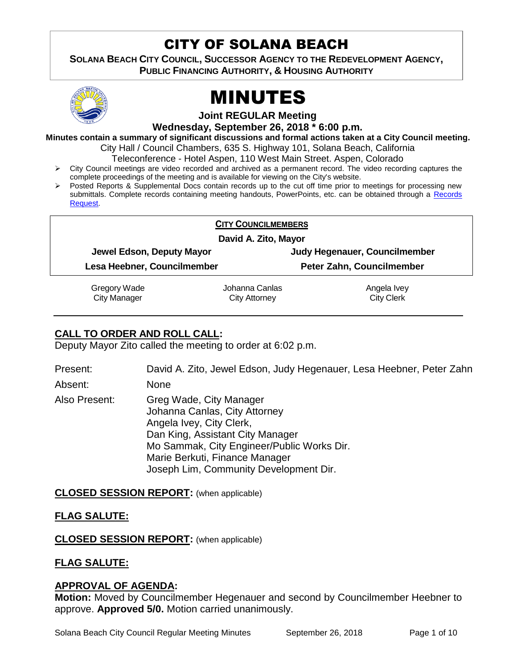# CITY OF SOLANA BEACH

**SOLANA BEACH CITY COUNCIL, SUCCESSOR AGENCY TO THE REDEVELOPMENT AGENCY, PUBLIC FINANCING AUTHORITY, & HOUSING AUTHORITY** 



# MINUTES

**Joint REGULAR Meeting**

**Wednesday, September 26, 2018 \* 6:00 p.m.**

**Minutes contain a summary of significant discussions and formal actions taken at a City Council meeting.**

City Hall / Council Chambers, 635 S. Highway 101, Solana Beach, California

Teleconference - Hotel Aspen, 110 West Main Street. Aspen, Colorado

- $\triangleright$  City Council meetings are video recorded and archived as a permanent record. The video recording captures the complete proceedings of the meeting and is available for viewing on the City's website.
- Posted Reports & Supplemental Docs contain records up to the cut off time prior to meetings for processing new submittals. Complete records containing meeting handouts, PowerPoints, etc. can be obtained through a Records [Request.](http://www.ci.solana-beach.ca.us/index.asp?SEC=F5D45D10-70CE-4291-A27C-7BD633FC6742&Type=B_BASIC)

# **CITY COUNCILMEMBERS**

**David A. Zito, Mayor**

**Jewel Edson, Deputy Mayor Judy Hegenauer, Councilmember**

**Lesa Heebner, Councilmember Peter Zahn, Councilmember**

Gregory Wade

Johanna Canlas City Attorney

Angela Ivey City Clerk

City Manager

# **CALL TO ORDER AND ROLL CALL:**

Deputy Mayor Zito called the meeting to order at 6:02 p.m.

Present: David A. Zito, Jewel Edson, Judy Hegenauer, Lesa Heebner, Peter Zahn

Absent: None

Also Present: Greg Wade, City Manager Johanna Canlas, City Attorney Angela Ivey, City Clerk, Dan King, Assistant City Manager Mo Sammak, City Engineer/Public Works Dir. Marie Berkuti, Finance Manager Joseph Lim, Community Development Dir.

# **CLOSED SESSION REPORT:** (when applicable)

# **FLAG SALUTE:**

**CLOSED SESSION REPORT:** (when applicable)

# **FLAG SALUTE:**

# **APPROVAL OF AGENDA:**

**Motion:** Moved by Councilmember Hegenauer and second by Councilmember Heebner to approve. **Approved 5/0.** Motion carried unanimously.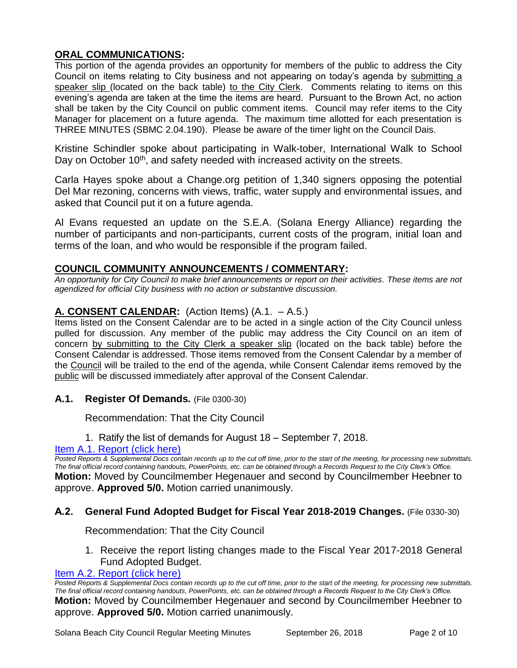# **ORAL COMMUNICATIONS:**

This portion of the agenda provides an opportunity for members of the public to address the City Council on items relating to City business and not appearing on today's agenda by submitting a speaker slip (located on the back table) to the City Clerk. Comments relating to items on this evening's agenda are taken at the time the items are heard. Pursuant to the Brown Act, no action shall be taken by the City Council on public comment items. Council may refer items to the City Manager for placement on a future agenda. The maximum time allotted for each presentation is THREE MINUTES (SBMC 2.04.190). Please be aware of the timer light on the Council Dais.

Kristine Schindler spoke about participating in Walk-tober, International Walk to School Day on October 10<sup>th</sup>, and safety needed with increased activity on the streets.

Carla Hayes spoke about a Change.org petition of 1,340 signers opposing the potential Del Mar rezoning, concerns with views, traffic, water supply and environmental issues, and asked that Council put it on a future agenda.

Al Evans requested an update on the S.E.A. (Solana Energy Alliance) regarding the number of participants and non-participants, current costs of the program, initial loan and terms of the loan, and who would be responsible if the program failed.

#### **COUNCIL COMMUNITY ANNOUNCEMENTS / COMMENTARY:**

*An opportunity for City Council to make brief announcements or report on their activities. These items are not agendized for official City business with no action or substantive discussion.* 

# **A. CONSENT CALENDAR:** (Action Items) (A.1. – A.5.)

Items listed on the Consent Calendar are to be acted in a single action of the City Council unless pulled for discussion. Any member of the public may address the City Council on an item of concern by submitting to the City Clerk a speaker slip (located on the back table) before the Consent Calendar is addressed. Those items removed from the Consent Calendar by a member of the Council will be trailed to the end of the agenda, while Consent Calendar items removed by the public will be discussed immediately after approval of the Consent Calendar.

**A.1. Register Of Demands.** (File 0300-30)

Recommendation: That the City Council

1. Ratify the list of demands for August 18 – September 7, 2018.

# [Item A.1. Report \(click here\)](https://solanabeach.govoffice3.com/vertical/Sites/%7B840804C2-F869-4904-9AE3-720581350CE7%7D/uploads/Item_A.1._Report_(click_here)_-_09-26-18.PDF)

*Posted Reports & Supplemental Docs contain records up to the cut off time, prior to the start of the meeting, for processing new submittals. The final official record containing handouts, PowerPoints, etc. can be obtained through a Records Request to the City Clerk's Office.* **Motion:** Moved by Councilmember Hegenauer and second by Councilmember Heebner to approve. **Approved 5/0.** Motion carried unanimously.

# **A.2. General Fund Adopted Budget for Fiscal Year 2018-2019 Changes.** (File 0330-30)

Recommendation: That the City Council

1. Receive the report listing changes made to the Fiscal Year 2017-2018 General Fund Adopted Budget.

#### [Item A.2. Report \(click here\)](https://solanabeach.govoffice3.com/vertical/Sites/%7B840804C2-F869-4904-9AE3-720581350CE7%7D/uploads/Item_A.2._Report_(click_here)_-_09-26-18.PDF)

*Posted Reports & Supplemental Docs contain records up to the cut off time, prior to the start of the meeting, for processing new submittals. The final official record containing handouts, PowerPoints, etc. can be obtained through a Records Request to the City Clerk's Office.* **Motion:** Moved by Councilmember Hegenauer and second by Councilmember Heebner to approve. **Approved 5/0.** Motion carried unanimously.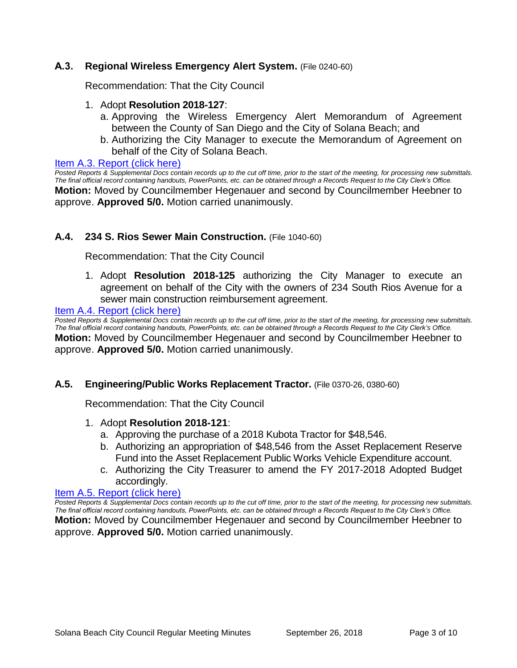# **A.3. Regional Wireless Emergency Alert System.** (File 0240-60)

Recommendation: That the City Council

- 1. Adopt **Resolution 2018-127**:
	- a. Approving the Wireless Emergency Alert Memorandum of Agreement between the County of San Diego and the City of Solana Beach; and
	- b. Authorizing the City Manager to execute the Memorandum of Agreement on behalf of the City of Solana Beach.

#### [Item A.3. Report \(click here\)](https://solanabeach.govoffice3.com/vertical/Sites/%7B840804C2-F869-4904-9AE3-720581350CE7%7D/uploads/Item_A.3._Report_(click_here)_-_09-26-18.PDF)

*Posted Reports & Supplemental Docs contain records up to the cut off time, prior to the start of the meeting, for processing new submittals. The final official record containing handouts, PowerPoints, etc. can be obtained through a Records Request to the City Clerk's Office.* **Motion:** Moved by Councilmember Hegenauer and second by Councilmember Heebner to approve. **Approved 5/0.** Motion carried unanimously.

# **A.4. 234 S. Rios Sewer Main Construction.** (File 1040-60)

Recommendation: That the City Council

1. Adopt **Resolution 2018-125** authorizing the City Manager to execute an agreement on behalf of the City with the owners of 234 South Rios Avenue for a sewer main construction reimbursement agreement.

#### [Item A.4. Report \(click here\)](https://solanabeach.govoffice3.com/vertical/Sites/%7B840804C2-F869-4904-9AE3-720581350CE7%7D/uploads/Item_A.4._Report_(click_here)_-_09-26-18.PDF)

*Posted Reports & Supplemental Docs contain records up to the cut off time, prior to the start of the meeting, for processing new submittals. The final official record containing handouts, PowerPoints, etc. can be obtained through a Records Request to the City Clerk's Office.* **Motion:** Moved by Councilmember Hegenauer and second by Councilmember Heebner to approve. **Approved 5/0.** Motion carried unanimously.

#### **A.5. Engineering/Public Works Replacement Tractor.** (File 0370-26, 0380-60)

Recommendation: That the City Council

#### 1. Adopt **Resolution 2018-121**:

- a. Approving the purchase of a 2018 Kubota Tractor for \$48,546.
- b. Authorizing an appropriation of \$48,546 from the Asset Replacement Reserve Fund into the Asset Replacement Public Works Vehicle Expenditure account.
- c. Authorizing the City Treasurer to amend the FY 2017-2018 Adopted Budget accordingly.

#### [Item A.5. Report \(click here\)](https://solanabeach.govoffice3.com/vertical/Sites/%7B840804C2-F869-4904-9AE3-720581350CE7%7D/uploads/Item_A.5._Report_(click_here)_-_09-26-18.PDF)

*Posted Reports & Supplemental Docs contain records up to the cut off time, prior to the start of the meeting, for processing new submittals. The final official record containing handouts, PowerPoints, etc. can be obtained through a Records Request to the City Clerk's Office.* **Motion:** Moved by Councilmember Hegenauer and second by Councilmember Heebner to approve. **Approved 5/0.** Motion carried unanimously.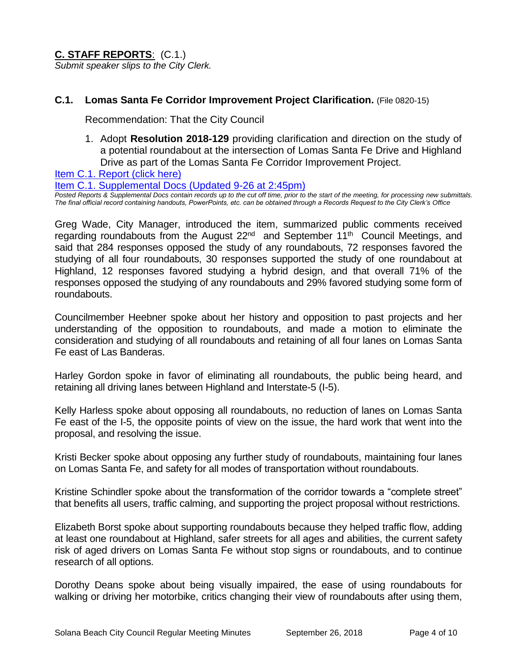**C. STAFF REPORTS**: (C.1.) *Submit speaker slips to the City Clerk.*

# **C.1. Lomas Santa Fe Corridor Improvement Project Clarification.** (File 0820-15)

Recommendation: That the City Council

1. Adopt **Resolution 2018-129** providing clarification and direction on the study of a potential roundabout at the intersection of Lomas Santa Fe Drive and Highland Drive as part of the Lomas Santa Fe Corridor Improvement Project.

[Item C.1. Report \(click here\)](https://solanabeach.govoffice3.com/vertical/Sites/%7B840804C2-F869-4904-9AE3-720581350CE7%7D/uploads/Item_C.1._Report_(click_here)_-_09-26-18.PDF) 

[Item C.1. Supplemental Docs \(Updated 9-26](https://solanabeach.govoffice3.com/vertical/Sites/%7B840804C2-F869-4904-9AE3-720581350CE7%7D/uploads/C.1._Supplemental_Docs_(updated_9-26_at_145pm).pdf) at 2:45pm)

*Posted Reports & Supplemental Docs contain records up to the cut off time, prior to the start of the meeting, for processing new submittals. The final official record containing handouts, PowerPoints, etc. can be obtained through a Records Request to the City Clerk's Office*

Greg Wade, City Manager, introduced the item, summarized public comments received regarding roundabouts from the August  $22<sup>nd</sup>$  and September  $11<sup>th</sup>$  Council Meetings, and said that 284 responses opposed the study of any roundabouts, 72 responses favored the studying of all four roundabouts, 30 responses supported the study of one roundabout at Highland, 12 responses favored studying a hybrid design, and that overall 71% of the responses opposed the studying of any roundabouts and 29% favored studying some form of roundabouts.

Councilmember Heebner spoke about her history and opposition to past projects and her understanding of the opposition to roundabouts, and made a motion to eliminate the consideration and studying of all roundabouts and retaining of all four lanes on Lomas Santa Fe east of Las Banderas.

Harley Gordon spoke in favor of eliminating all roundabouts, the public being heard, and retaining all driving lanes between Highland and Interstate-5 (I-5).

Kelly Harless spoke about opposing all roundabouts, no reduction of lanes on Lomas Santa Fe east of the I-5, the opposite points of view on the issue, the hard work that went into the proposal, and resolving the issue.

Kristi Becker spoke about opposing any further study of roundabouts, maintaining four lanes on Lomas Santa Fe, and safety for all modes of transportation without roundabouts.

Kristine Schindler spoke about the transformation of the corridor towards a "complete street" that benefits all users, traffic calming, and supporting the project proposal without restrictions.

Elizabeth Borst spoke about supporting roundabouts because they helped traffic flow, adding at least one roundabout at Highland, safer streets for all ages and abilities, the current safety risk of aged drivers on Lomas Santa Fe without stop signs or roundabouts, and to continue research of all options.

Dorothy Deans spoke about being visually impaired, the ease of using roundabouts for walking or driving her motorbike, critics changing their view of roundabouts after using them,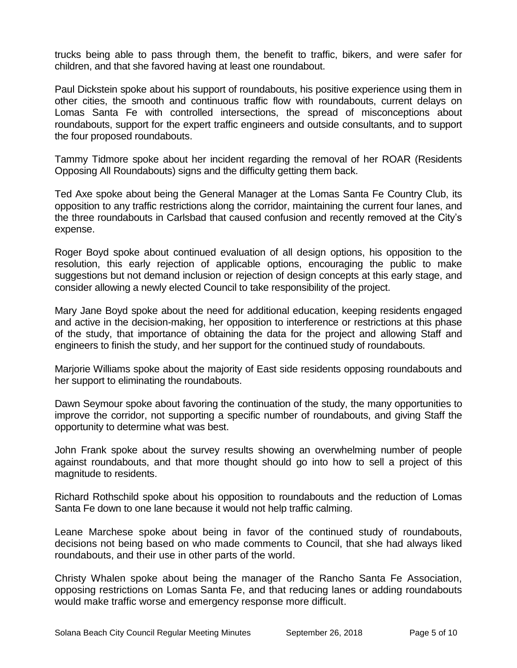trucks being able to pass through them, the benefit to traffic, bikers, and were safer for children, and that she favored having at least one roundabout.

Paul Dickstein spoke about his support of roundabouts, his positive experience using them in other cities, the smooth and continuous traffic flow with roundabouts, current delays on Lomas Santa Fe with controlled intersections, the spread of misconceptions about roundabouts, support for the expert traffic engineers and outside consultants, and to support the four proposed roundabouts.

Tammy Tidmore spoke about her incident regarding the removal of her ROAR (Residents Opposing All Roundabouts) signs and the difficulty getting them back.

Ted Axe spoke about being the General Manager at the Lomas Santa Fe Country Club, its opposition to any traffic restrictions along the corridor, maintaining the current four lanes, and the three roundabouts in Carlsbad that caused confusion and recently removed at the City's expense.

Roger Boyd spoke about continued evaluation of all design options, his opposition to the resolution, this early rejection of applicable options, encouraging the public to make suggestions but not demand inclusion or rejection of design concepts at this early stage, and consider allowing a newly elected Council to take responsibility of the project.

Mary Jane Boyd spoke about the need for additional education, keeping residents engaged and active in the decision-making, her opposition to interference or restrictions at this phase of the study, that importance of obtaining the data for the project and allowing Staff and engineers to finish the study, and her support for the continued study of roundabouts.

Marjorie Williams spoke about the majority of East side residents opposing roundabouts and her support to eliminating the roundabouts.

Dawn Seymour spoke about favoring the continuation of the study, the many opportunities to improve the corridor, not supporting a specific number of roundabouts, and giving Staff the opportunity to determine what was best.

John Frank spoke about the survey results showing an overwhelming number of people against roundabouts, and that more thought should go into how to sell a project of this magnitude to residents.

Richard Rothschild spoke about his opposition to roundabouts and the reduction of Lomas Santa Fe down to one lane because it would not help traffic calming.

Leane Marchese spoke about being in favor of the continued study of roundabouts, decisions not being based on who made comments to Council, that she had always liked roundabouts, and their use in other parts of the world.

Christy Whalen spoke about being the manager of the Rancho Santa Fe Association, opposing restrictions on Lomas Santa Fe, and that reducing lanes or adding roundabouts would make traffic worse and emergency response more difficult.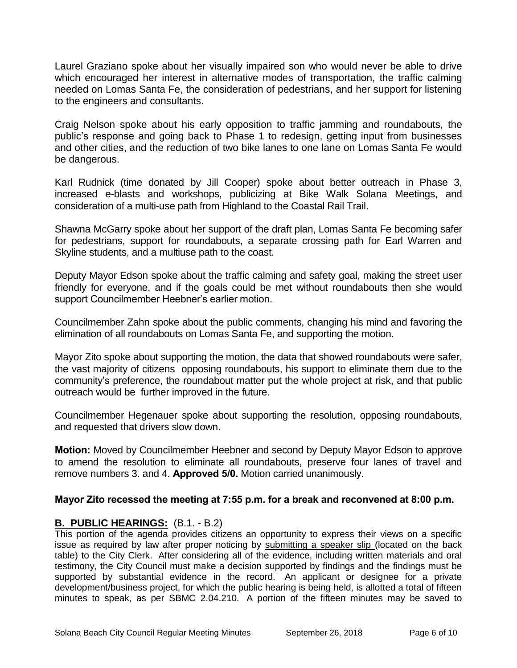Laurel Graziano spoke about her visually impaired son who would never be able to drive which encouraged her interest in alternative modes of transportation, the traffic calming needed on Lomas Santa Fe, the consideration of pedestrians, and her support for listening to the engineers and consultants.

Craig Nelson spoke about his early opposition to traffic jamming and roundabouts, the public's response and going back to Phase 1 to redesign, getting input from businesses and other cities, and the reduction of two bike lanes to one lane on Lomas Santa Fe would be dangerous.

Karl Rudnick (time donated by Jill Cooper) spoke about better outreach in Phase 3, increased e-blasts and workshops, publicizing at Bike Walk Solana Meetings, and consideration of a multi-use path from Highland to the Coastal Rail Trail.

Shawna McGarry spoke about her support of the draft plan, Lomas Santa Fe becoming safer for pedestrians, support for roundabouts, a separate crossing path for Earl Warren and Skyline students, and a multiuse path to the coast.

Deputy Mayor Edson spoke about the traffic calming and safety goal, making the street user friendly for everyone, and if the goals could be met without roundabouts then she would support Councilmember Heebner's earlier motion.

Councilmember Zahn spoke about the public comments, changing his mind and favoring the elimination of all roundabouts on Lomas Santa Fe, and supporting the motion.

Mayor Zito spoke about supporting the motion, the data that showed roundabouts were safer, the vast majority of citizens opposing roundabouts, his support to eliminate them due to the community's preference, the roundabout matter put the whole project at risk, and that public outreach would be further improved in the future.

Councilmember Hegenauer spoke about supporting the resolution, opposing roundabouts, and requested that drivers slow down.

**Motion:** Moved by Councilmember Heebner and second by Deputy Mayor Edson to approve to amend the resolution to eliminate all roundabouts, preserve four lanes of travel and remove numbers 3. and 4. **Approved 5/0.** Motion carried unanimously.

# **Mayor Zito recessed the meeting at 7:55 p.m. for a break and reconvened at 8:00 p.m.**

# **B. PUBLIC HEARINGS:** (B.1. - B.2)

This portion of the agenda provides citizens an opportunity to express their views on a specific issue as required by law after proper noticing by submitting a speaker slip (located on the back table) to the City Clerk. After considering all of the evidence, including written materials and oral testimony, the City Council must make a decision supported by findings and the findings must be supported by substantial evidence in the record. An applicant or designee for a private development/business project, for which the public hearing is being held, is allotted a total of fifteen minutes to speak, as per SBMC 2.04.210. A portion of the fifteen minutes may be saved to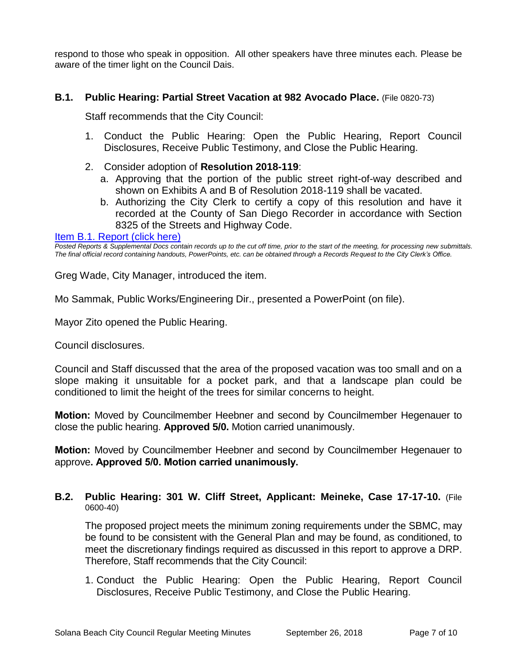respond to those who speak in opposition. All other speakers have three minutes each. Please be aware of the timer light on the Council Dais.

# **B.1. Public Hearing: Partial Street Vacation at 982 Avocado Place.** (File 0820-73)

Staff recommends that the City Council:

- 1. Conduct the Public Hearing: Open the Public Hearing, Report Council Disclosures, Receive Public Testimony, and Close the Public Hearing.
- 2. Consider adoption of **Resolution 2018-119**:
	- a. Approving that the portion of the public street right-of-way described and shown on Exhibits A and B of Resolution 2018-119 shall be vacated.
	- b. Authorizing the City Clerk to certify a copy of this resolution and have it recorded at the County of San Diego Recorder in accordance with Section 8325 of the Streets and Highway Code.

#### Item B.1. Report (click here)

*Posted Reports & Supplemental Docs contain records up to the cut off time, prior to the start of the meeting, for processing new submittals. The final official record containing handouts, PowerPoints, etc. can be obtained through a Records Request to the City Clerk's Office.*

Greg Wade, City Manager, introduced the item.

Mo Sammak, Public Works/Engineering Dir., presented a PowerPoint (on file).

Mayor Zito opened the Public Hearing.

Council disclosures.

Council and Staff discussed that the area of the proposed vacation was too small and on a slope making it unsuitable for a pocket park, and that a landscape plan could be conditioned to limit the height of the trees for similar concerns to height.

**Motion:** Moved by Councilmember Heebner and second by Councilmember Hegenauer to close the public hearing. **Approved 5/0.** Motion carried unanimously.

**Motion:** Moved by Councilmember Heebner and second by Councilmember Hegenauer to approve**. Approved 5/0. Motion carried unanimously.** 

#### **B.2. Public Hearing: 301 W. Cliff Street, Applicant: Meineke, Case 17-17-10.** (File 0600-40)

The proposed project meets the minimum zoning requirements under the SBMC, may be found to be consistent with the General Plan and may be found, as conditioned, to meet the discretionary findings required as discussed in this report to approve a DRP. Therefore, Staff recommends that the City Council:

1. Conduct the Public Hearing: Open the Public Hearing, Report Council Disclosures, Receive Public Testimony, and Close the Public Hearing.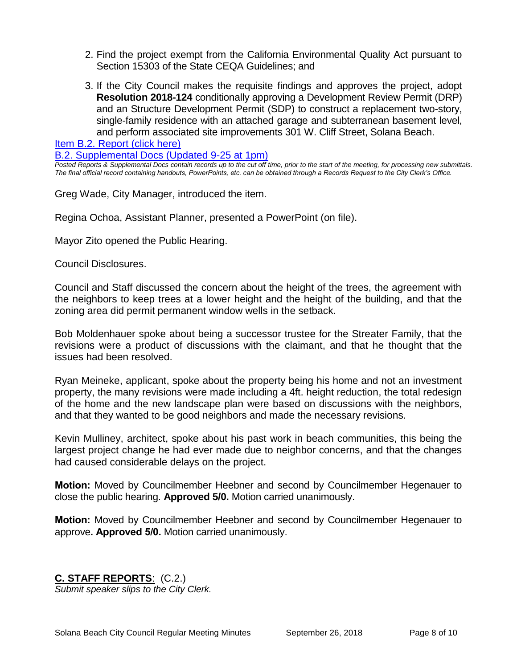- 2. Find the project exempt from the California Environmental Quality Act pursuant to Section 15303 of the State CEQA Guidelines; and
- 3. If the City Council makes the requisite findings and approves the project, adopt **Resolution 2018-124** conditionally approving a Development Review Permit (DRP) and an Structure Development Permit (SDP) to construct a replacement two-story, single-family residence with an attached garage and subterranean basement level, and perform associated site improvements 301 W. Cliff Street, Solana Beach.

[Item B.2. Report \(click here\)](https://solanabeach.govoffice3.com/vertical/Sites/%7B840804C2-F869-4904-9AE3-720581350CE7%7D/uploads/Item_B.2._Report_(click_here)_-_09-26-18-R_(Reduced).pdf) 

[B.2. Supplemental Docs \(Updated 9-25 at 1pm\)](https://solanabeach.govoffice3.com/vertical/Sites/%7B840804C2-F869-4904-9AE3-720581350CE7%7D/uploads/B.2._Supplemental_Docs_(Updated_9-25_at_1245pm).pdf)

*Posted Reports & Supplemental Docs contain records up to the cut off time, prior to the start of the meeting, for processing new submittals. The final official record containing handouts, PowerPoints, etc. can be obtained through a Records Request to the City Clerk's Office.*

Greg Wade, City Manager, introduced the item.

Regina Ochoa, Assistant Planner, presented a PowerPoint (on file).

Mayor Zito opened the Public Hearing.

Council Disclosures.

Council and Staff discussed the concern about the height of the trees, the agreement with the neighbors to keep trees at a lower height and the height of the building, and that the zoning area did permit permanent window wells in the setback.

Bob Moldenhauer spoke about being a successor trustee for the Streater Family, that the revisions were a product of discussions with the claimant, and that he thought that the issues had been resolved.

Ryan Meineke, applicant, spoke about the property being his home and not an investment property, the many revisions were made including a 4ft. height reduction, the total redesign of the home and the new landscape plan were based on discussions with the neighbors, and that they wanted to be good neighbors and made the necessary revisions.

Kevin Mulliney, architect, spoke about his past work in beach communities, this being the largest project change he had ever made due to neighbor concerns, and that the changes had caused considerable delays on the project.

**Motion:** Moved by Councilmember Heebner and second by Councilmember Hegenauer to close the public hearing. **Approved 5/0.** Motion carried unanimously.

**Motion:** Moved by Councilmember Heebner and second by Councilmember Hegenauer to approve**. Approved 5/0.** Motion carried unanimously.

# **C. STAFF REPORTS**: (C.2.)

*Submit speaker slips to the City Clerk.*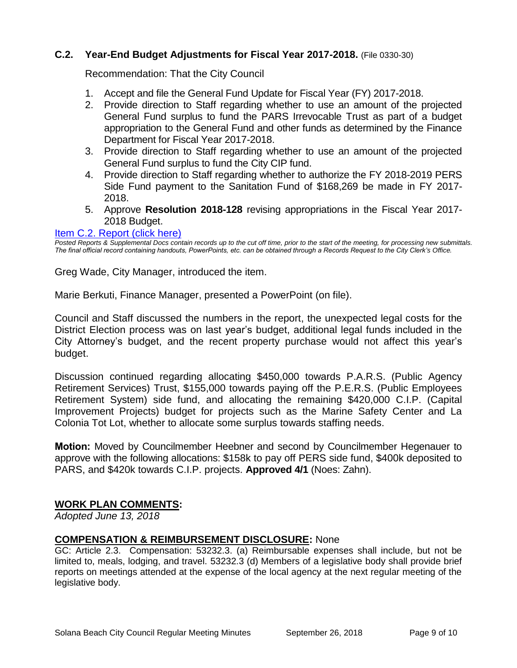# **C.2. Year-End Budget Adjustments for Fiscal Year 2017-2018.** (File 0330-30)

Recommendation: That the City Council

- 1. Accept and file the General Fund Update for Fiscal Year (FY) 2017-2018.
- 2. Provide direction to Staff regarding whether to use an amount of the projected General Fund surplus to fund the PARS Irrevocable Trust as part of a budget appropriation to the General Fund and other funds as determined by the Finance Department for Fiscal Year 2017-2018.
- 3. Provide direction to Staff regarding whether to use an amount of the projected General Fund surplus to fund the City CIP fund.
- 4. Provide direction to Staff regarding whether to authorize the FY 2018-2019 PERS Side Fund payment to the Sanitation Fund of \$168,269 be made in FY 2017- 2018.
- 5. Approve **Resolution 2018-128** revising appropriations in the Fiscal Year 2017- 2018 Budget.

#### [Item C.2. Report \(click here\)](https://solanabeach.govoffice3.com/vertical/Sites/%7B840804C2-F869-4904-9AE3-720581350CE7%7D/uploads/Item_C.2._Report_(click_here)_-_09-26-18.PDF)

*Posted Reports & Supplemental Docs contain records up to the cut off time, prior to the start of the meeting, for processing new submittals. The final official record containing handouts, PowerPoints, etc. can be obtained through a Records Request to the City Clerk's Office.*

Greg Wade, City Manager, introduced the item.

Marie Berkuti, Finance Manager, presented a PowerPoint (on file).

Council and Staff discussed the numbers in the report, the unexpected legal costs for the District Election process was on last year's budget, additional legal funds included in the City Attorney's budget, and the recent property purchase would not affect this year's budget.

Discussion continued regarding allocating \$450,000 towards P.A.R.S. (Public Agency Retirement Services) Trust, \$155,000 towards paying off the P.E.R.S. (Public Employees Retirement System) side fund, and allocating the remaining \$420,000 C.I.P. (Capital Improvement Projects) budget for projects such as the Marine Safety Center and La Colonia Tot Lot, whether to allocate some surplus towards staffing needs.

**Motion:** Moved by Councilmember Heebner and second by Councilmember Hegenauer to approve with the following allocations: \$158k to pay off PERS side fund, \$400k deposited to PARS, and \$420k towards C.I.P. projects. **Approved 4/1** (Noes: Zahn).

# **WORK PLAN COMMENTS:**

*Adopted June 13, 2018*

#### **COMPENSATION & REIMBURSEMENT DISCLOSURE:** None

GC: Article 2.3. Compensation: 53232.3. (a) Reimbursable expenses shall include, but not be limited to, meals, lodging, and travel. 53232.3 (d) Members of a legislative body shall provide brief reports on meetings attended at the expense of the local agency at the next regular meeting of the legislative body.